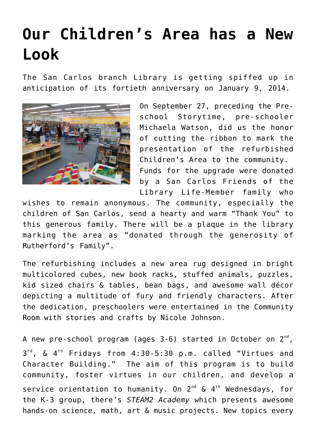## **[Our Children's Area has a New](https://sancarlosfriendsofthelibrary.org/2013/09/23/our-childrens-area-has-a-new-look/) [Look](https://sancarlosfriendsofthelibrary.org/2013/09/23/our-childrens-area-has-a-new-look/)**

The San Carlos branch Library is getting spiffed up in anticipation of its fortieth anniversary on January 9, 2014.



On September 27, preceding the Preschool Storytime, pre-schooler Michaela Watson, did us the honor of cutting the ribbon to mark the presentation of the refurbished Children's Area to the community. Funds for the upgrade were donated by a San Carlos Friends of the Library Life-Member family who

wishes to remain anonymous. The community, especially the children of San Carlos, send a hearty and warm "Thank You" to this generous family. There will be a plaque in the library marking the area as "donated through the generosity of Rutherford's Family".

The refurbishing includes a new area rug designed in bright multicolored cubes, new book racks, stuffed animals, puzzles, kid sized chairs & tables, bean bags, and awesome wall décor depicting a multitude of fury and friendly characters. After the dedication, preschoolers were entertained in the Community Room with stories and crafts by Nicole Johnson.

A new pre-school program (ages 3-6) started in October on  $2^{\text{nd}}$ , 3 rd, & 4th Fridays from 4:30-5:30 p.m. called "Virtues and Character Building." The aim of this program is to build community, foster virtues in our children, and develop a service orientation to humanity. On  $2^{nd}$  &  $4^{th}$  Wednesdays, for the K-3 group, there's *STEAM2 Academy* which presents awesome hands-on science, math, art & music projects. New topics every